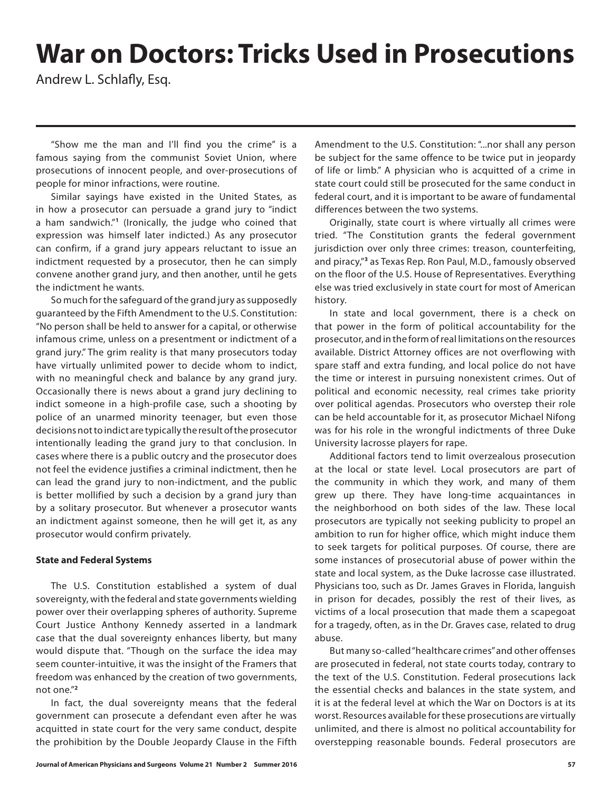# **War on Doctors: Tricks Used in Prosecutions**

Andrew L. Schlafly, Esq.

"Show me the man and I'll find you the crime" is a famous saying from the communist Soviet Union, where prosecutions of innocent people, and over-prosecutions of people for minor infractions, were routine.

Similar sayings have existed in the United States, as in how a prosecutor can persuade a grand jury to "indict a ham sandwich."**<sup>1</sup>** (Ironically, the judge who coined that expression was himself later indicted.) As any prosecutor can confirm, if a grand jury appears reluctant to issue an indictment requested by a prosecutor, then he can simply convene another grand jury, and then another, until he gets the indictment he wants.

So much for the safeguard of the grand jury as supposedly guaranteed by the Fifth Amendment to the U.S. Constitution: "No person shall be held to answer for a capital, or otherwise infamous crime, unless on a presentment or indictment of a grand jury." The grim reality is that many prosecutors today have virtually unlimited power to decide whom to indict, with no meaningful check and balance by any grand jury. Occasionally there is news about a grand jury declining to indict someone in a high-profile case, such a shooting by police of an unarmed minority teenager, but even those decisions not to indict are typically the result of the prosecutor intentionally leading the grand jury to that conclusion. In cases where there is a public outcry and the prosecutor does not feel the evidence justifies a criminal indictment, then he can lead the grand jury to non-indictment, and the public is better mollified by such a decision by a grand jury than by a solitary prosecutor. But whenever a prosecutor wants an indictment against someone, then he will get it, as any prosecutor would confirm privately.

## **State and Federal Systems**

The U.S. Constitution established a system of dual sovereignty, with the federal and state governments wielding power over their overlapping spheres of authority. Supreme Court Justice Anthony Kennedy asserted in a landmark case that the dual sovereignty enhances liberty, but many would dispute that. "Though on the surface the idea may seem counter-intuitive, it was the insight of the Framers that freedom was enhanced by the creation of two governments, not one."**<sup>2</sup>**

In fact, the dual sovereignty means that the federal government can prosecute a defendant even after he was acquitted in state court for the very same conduct, despite the prohibition by the Double Jeopardy Clause in the Fifth Amendment to the U.S. Constitution: "...nor shall any person be subject for the same offence to be twice put in jeopardy of life or limb." A physician who is acquitted of a crime in state court could still be prosecuted for the same conduct in federal court, and it is important to be aware of fundamental differences between the two systems.

Originally, state court is where virtually all crimes were tried. "The Constitution grants the federal government jurisdiction over only three crimes: treason, counterfeiting, and piracy,"**<sup>3</sup>** as Texas Rep. Ron Paul, M.D., famously observed on the floor of the U.S. House of Representatives. Everything else was tried exclusively in state court for most of American history.

In state and local government, there is a check on that power in the form of political accountability for the prosecutor, and in the form of real limitations on the resources available. District Attorney offices are not overflowing with spare staff and extra funding, and local police do not have the time or interest in pursuing nonexistent crimes. Out of political and economic necessity, real crimes take priority over political agendas. Prosecutors who overstep their role can be held accountable for it, as prosecutor Michael Nifong was for his role in the wrongful indictments of three Duke University lacrosse players for rape.

Additional factors tend to limit overzealous prosecution at the local or state level. Local prosecutors are part of the community in which they work, and many of them grew up there. They have long-time acquaintances in the neighborhood on both sides of the law. These local prosecutors are typically not seeking publicity to propel an ambition to run for higher office, which might induce them to seek targets for political purposes. Of course, there are some instances of prosecutorial abuse of power within the state and local system, as the Duke lacrosse case illustrated. Physicians too, such as Dr. James Graves in Florida, languish in prison for decades, possibly the rest of their lives, as victims of a local prosecution that made them a scapegoat for a tragedy, often, as in the Dr. Graves case, related to drug abuse.

But many so-called "healthcare crimes" and other offenses are prosecuted in federal, not state courts today, contrary to the text of the U.S. Constitution. Federal prosecutions lack the essential checks and balances in the state system, and it is at the federal level at which the War on Doctors is at its worst. Resources available for these prosecutions are virtually unlimited, and there is almost no political accountability for overstepping reasonable bounds. Federal prosecutors are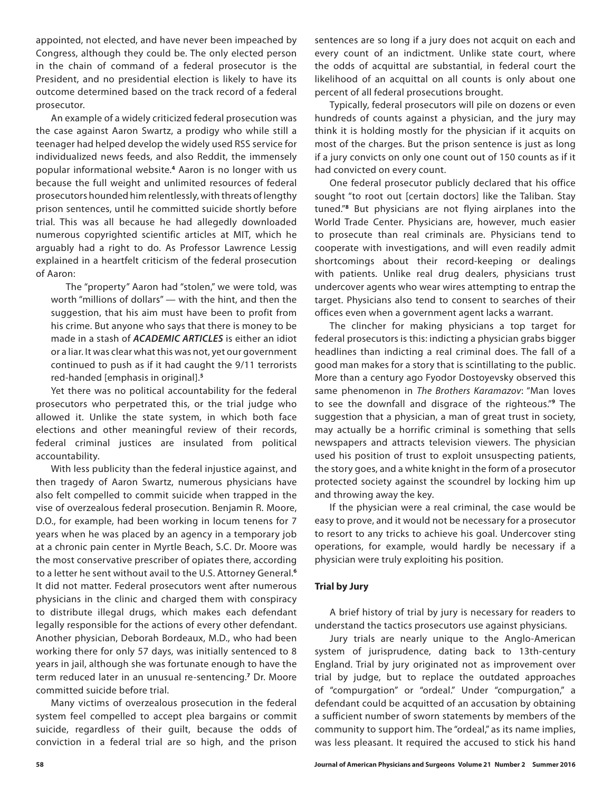appointed, not elected, and have never been impeached by Congress, although they could be. The only elected person in the chain of command of a federal prosecutor is the President, and no presidential election is likely to have its outcome determined based on the track record of a federal prosecutor.

An example of a widely criticized federal prosecution was the case against Aaron Swartz, a prodigy who while still a teenager had helped develop the widely used RSS service for individualized news feeds, and also Reddit, the immensely popular informational website.**<sup>4</sup>** Aaron is no longer with us because the full weight and unlimited resources of federal prosecutors hounded him relentlessly, with threats of lengthy prison sentences, until he committed suicide shortly before trial. This was all because he had allegedly downloaded numerous copyrighted scientific articles at MIT, which he arguably had a right to do. As Professor Lawrence Lessig explained in a heartfelt criticism of the federal prosecution of Aaron:

The "property" Aaron had "stolen," we were told, was worth "millions of dollars" — with the hint, and then the suggestion, that his aim must have been to profit from his crime. But anyone who says that there is money to be made in a stash of *ACADEMIC ARTICLES* is either an idiot or a liar. It was clear what this was not, yet our government continued to push as if it had caught the 9/11 terrorists red-handed [emphasis in original].**<sup>5</sup>**

Yet there was no political accountability for the federal prosecutors who perpetrated this, or the trial judge who allowed it. Unlike the state system, in which both face elections and other meaningful review of their records, federal criminal justices are insulated from political accountability.

With less publicity than the federal injustice against, and then tragedy of Aaron Swartz, numerous physicians have also felt compelled to commit suicide when trapped in the vise of overzealous federal prosecution. Benjamin R. Moore, D.O., for example, had been working in locum tenens for 7 years when he was placed by an agency in a temporary job at a chronic pain center in Myrtle Beach, S.C. Dr. Moore was the most conservative prescriber of opiates there, according to a letter he sent without avail to the U.S. Attorney General.**<sup>6</sup>** It did not matter. Federal prosecutors went after numerous physicians in the clinic and charged them with conspiracy to distribute illegal drugs, which makes each defendant legally responsible for the actions of every other defendant. Another physician, Deborah Bordeaux, M.D., who had been working there for only 57 days, was initially sentenced to 8 years in jail, although she was fortunate enough to have the term reduced later in an unusual re-sentencing.**<sup>7</sup>** Dr. Moore committed suicide before trial.

Many victims of overzealous prosecution in the federal system feel compelled to accept plea bargains or commit suicide, regardless of their guilt, because the odds of conviction in a federal trial are so high, and the prison

sentences are so long if a jury does not acquit on each and every count of an indictment. Unlike state court, where the odds of acquittal are substantial, in federal court the likelihood of an acquittal on all counts is only about one percent of all federal prosecutions brought.

Typically, federal prosecutors will pile on dozens or even hundreds of counts against a physician, and the jury may think it is holding mostly for the physician if it acquits on most of the charges. But the prison sentence is just as long if a jury convicts on only one count out of 150 counts as if it had convicted on every count.

One federal prosecutor publicly declared that his office sought "to root out [certain doctors] like the Taliban. Stay tuned."**<sup>8</sup>** But physicians are not flying airplanes into the World Trade Center. Physicians are, however, much easier to prosecute than real criminals are. Physicians tend to cooperate with investigations, and will even readily admit shortcomings about their record-keeping or dealings with patients. Unlike real drug dealers, physicians trust undercover agents who wear wires attempting to entrap the target. Physicians also tend to consent to searches of their offices even when a government agent lacks a warrant.

The clincher for making physicians a top target for federal prosecutors is this: indicting a physician grabs bigger headlines than indicting a real criminal does. The fall of a good man makes for a story that is scintillating to the public. More than a century ago Fyodor Dostoyevsky observed this same phenomenon in *The Brothers Karamazov*: "Man loves to see the downfall and disgrace of the righteous."**<sup>9</sup>** The suggestion that a physician, a man of great trust in society, may actually be a horrific criminal is something that sells newspapers and attracts television viewers. The physician used his position of trust to exploit unsuspecting patients, the story goes, and a white knight in the form of a prosecutor protected society against the scoundrel by locking him up and throwing away the key.

If the physician were a real criminal, the case would be easy to prove, and it would not be necessary for a prosecutor to resort to any tricks to achieve his goal. Undercover sting operations, for example, would hardly be necessary if a physician were truly exploiting his position.

## **Trial by Jury**

A brief history of trial by jury is necessary for readers to understand the tactics prosecutors use against physicians.

Jury trials are nearly unique to the Anglo-American system of jurisprudence, dating back to 13th-century England. Trial by jury originated not as improvement over trial by judge, but to replace the outdated approaches of "compurgation" or "ordeal." Under "compurgation," a defendant could be acquitted of an accusation by obtaining a sufficient number of sworn statements by members of the community to support him. The "ordeal," as its name implies, was less pleasant. It required the accused to stick his hand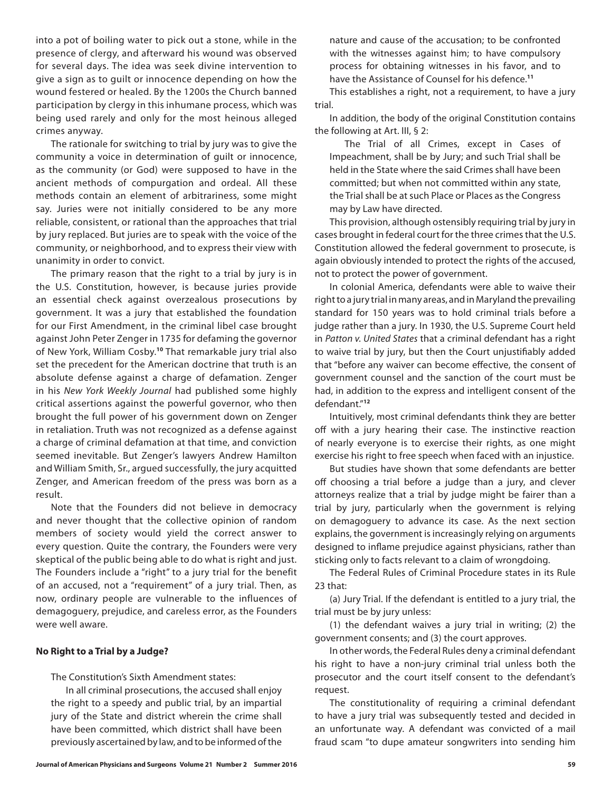into a pot of boiling water to pick out a stone, while in the presence of clergy, and afterward his wound was observed for several days. The idea was seek divine intervention to give a sign as to guilt or innocence depending on how the wound festered or healed. By the 1200s the Church banned participation by clergy in this inhumane process, which was being used rarely and only for the most heinous alleged crimes anyway.

The rationale for switching to trial by jury was to give the community a voice in determination of guilt or innocence, as the community (or God) were supposed to have in the ancient methods of compurgation and ordeal. All these methods contain an element of arbitrariness, some might say. Juries were not initially considered to be any more reliable, consistent, or rational than the approaches that trial by jury replaced. But juries are to speak with the voice of the community, or neighborhood, and to express their view with unanimity in order to convict.

The primary reason that the right to a trial by jury is in the U.S. Constitution, however, is because juries provide an essential check against overzealous prosecutions by government. It was a jury that established the foundation for our First Amendment, in the criminal libel case brought against John Peter Zenger in 1735 for defaming the governor of New York, William Cosby.**<sup>10</sup>** That remarkable jury trial also set the precedent for the American doctrine that truth is an absolute defense against a charge of defamation. Zenger in his *New York Weekly Journal* had published some highly critical assertions against the powerful governor, who then brought the full power of his government down on Zenger in retaliation. Truth was not recognized as a defense against a charge of criminal defamation at that time, and conviction seemed inevitable. But Zenger's lawyers Andrew Hamilton and William Smith, Sr., argued successfully, the jury acquitted Zenger, and American freedom of the press was born as a result.

Note that the Founders did not believe in democracy and never thought that the collective opinion of random members of society would yield the correct answer to every question. Quite the contrary, the Founders were very skeptical of the public being able to do what is right and just. The Founders include a "right" to a jury trial for the benefit of an accused, not a "requirement" of a jury trial. Then, as now, ordinary people are vulnerable to the influences of demagoguery, prejudice, and careless error, as the Founders were well aware.

### **No Right to a Trial by a Judge?**

The Constitution's Sixth Amendment states:

In all criminal prosecutions, the accused shall enjoy the right to a speedy and public trial, by an impartial jury of the State and district wherein the crime shall have been committed, which district shall have been previously ascertained by law, and to be informed of the

nature and cause of the accusation; to be confronted with the witnesses against him; to have compulsory process for obtaining witnesses in his favor, and to have the Assistance of Counsel for his defence.**<sup>11</sup>**

This establishes a right, not a requirement, to have a jury trial.

In addition, the body of the original Constitution contains the following at Art. III, § 2:

The Trial of all Crimes, except in Cases of Impeachment, shall be by Jury; and such Trial shall be held in the State where the said Crimes shall have been committed; but when not committed within any state, the Trial shall be at such Place or Places as the Congress may by Law have directed.

This provision, although ostensibly requiring trial by jury in cases brought in federal court for the three crimes that the U.S. Constitution allowed the federal government to prosecute, is again obviously intended to protect the rights of the accused, not to protect the power of government.

In colonial America, defendants were able to waive their right to a jury trial in many areas, and in Maryland the prevailing standard for 150 years was to hold criminal trials before a judge rather than a jury. In 1930, the U.S. Supreme Court held in *Patton v. United States* that a criminal defendant has a right to waive trial by jury, but then the Court unjustifiably added that "before any waiver can become effective, the consent of government counsel and the sanction of the court must be had, in addition to the express and intelligent consent of the defendant."**<sup>12</sup>**

Intuitively, most criminal defendants think they are better off with a jury hearing their case. The instinctive reaction of nearly everyone is to exercise their rights, as one might exercise his right to free speech when faced with an injustice.

But studies have shown that some defendants are better off choosing a trial before a judge than a jury, and clever attorneys realize that a trial by judge might be fairer than a trial by jury, particularly when the government is relying on demagoguery to advance its case. As the next section explains, the government is increasingly relying on arguments designed to inflame prejudice against physicians, rather than sticking only to facts relevant to a claim of wrongdoing.

The Federal Rules of Criminal Procedure states in its Rule 23 that:

(a) Jury Trial. If the defendant is entitled to a jury trial, the trial must be by jury unless:

(1) the defendant waives a jury trial in writing; (2) the government consents; and (3) the court approves.

In other words, the Federal Rules deny a criminal defendant his right to have a non-jury criminal trial unless both the prosecutor and the court itself consent to the defendant's request.

The constitutionality of requiring a criminal defendant to have a jury trial was subsequently tested and decided in an unfortunate way. A defendant was convicted of a mail fraud scam "to dupe amateur songwriters into sending him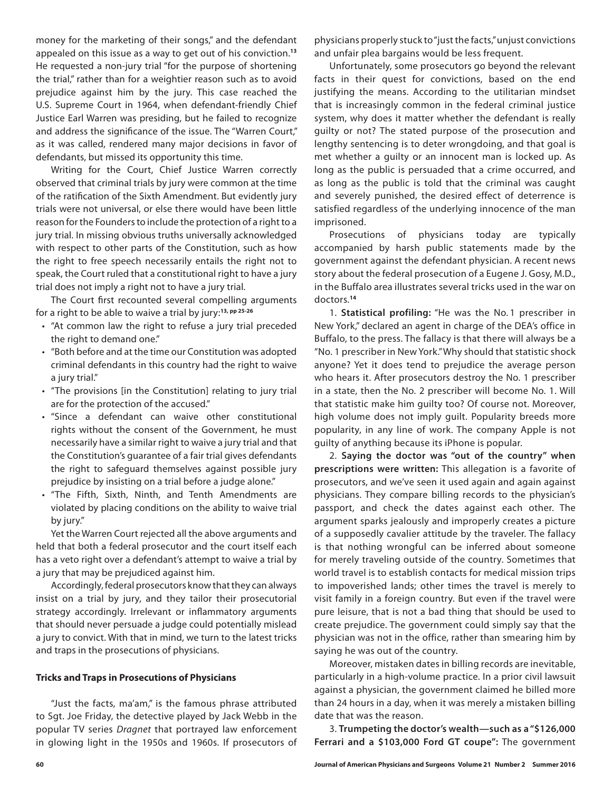money for the marketing of their songs," and the defendant appealed on this issue as a way to get out of his conviction.**<sup>13</sup>** He requested a non-jury trial "for the purpose of shortening the trial," rather than for a weightier reason such as to avoid prejudice against him by the jury. This case reached the U.S. Supreme Court in 1964, when defendant-friendly Chief Justice Earl Warren was presiding, but he failed to recognize and address the significance of the issue. The "Warren Court," as it was called, rendered many major decisions in favor of defendants, but missed its opportunity this time.

Writing for the Court, Chief Justice Warren correctly observed that criminal trials by jury were common at the time of the ratification of the Sixth Amendment. But evidently jury trials were not universal, or else there would have been little reason for the Founders to include the protection of a right to a jury trial. In missing obvious truths universally acknowledged with respect to other parts of the Constitution, such as how the right to free speech necessarily entails the right not to speak, the Court ruled that a constitutional right to have a jury trial does not imply a right not to have a jury trial.

The Court first recounted several compelling arguments for a right to be able to waive a trial by jury:**13, pp 25-26**

- "At common law the right to refuse a jury trial preceded the right to demand one."
- "Both before and at the time our Constitution was adopted criminal defendants in this country had the right to waive a jury trial."
- "The provisions [in the Constitution] relating to jury trial are for the protection of the accused."
- "Since a defendant can waive other constitutional rights without the consent of the Government, he must necessarily have a similar right to waive a jury trial and that the Constitution's guarantee of a fair trial gives defendants the right to safeguard themselves against possible jury prejudice by insisting on a trial before a judge alone."
- "The Fifth, Sixth, Ninth, and Tenth Amendments are violated by placing conditions on the ability to waive trial by jury."

Yet the Warren Court rejected all the above arguments and held that both a federal prosecutor and the court itself each has a veto right over a defendant's attempt to waive a trial by a jury that may be prejudiced against him.

Accordingly, federal prosecutors know that they can always insist on a trial by jury, and they tailor their prosecutorial strategy accordingly. Irrelevant or inflammatory arguments that should never persuade a judge could potentially mislead a jury to convict. With that in mind, we turn to the latest tricks and traps in the prosecutions of physicians.

### **Tricks and Traps in Prosecutions of Physicians**

"Just the facts, ma'am," is the famous phrase attributed to Sgt. Joe Friday, the detective played by Jack Webb in the popular TV series *Dragnet* that portrayed law enforcement in glowing light in the 1950s and 1960s. If prosecutors of physicians properly stuck to "just the facts," unjust convictions and unfair plea bargains would be less frequent.

Unfortunately, some prosecutors go beyond the relevant facts in their quest for convictions, based on the end justifying the means. According to the utilitarian mindset that is increasingly common in the federal criminal justice system, why does it matter whether the defendant is really guilty or not? The stated purpose of the prosecution and lengthy sentencing is to deter wrongdoing, and that goal is met whether a guilty or an innocent man is locked up. As long as the public is persuaded that a crime occurred, and as long as the public is told that the criminal was caught and severely punished, the desired effect of deterrence is satisfied regardless of the underlying innocence of the man imprisoned.

Prosecutions of physicians today are typically accompanied by harsh public statements made by the government against the defendant physician. A recent news story about the federal prosecution of a Eugene J. Gosy, M.D., in the Buffalo area illustrates several tricks used in the war on doctors.**<sup>14</sup>**

1. **Statistical profiling:** "He was the No. 1 prescriber in New York," declared an agent in charge of the DEA's office in Buffalo, to the press. The fallacy is that there will always be a "No. 1 prescriber in New York." Why should that statistic shock anyone? Yet it does tend to prejudice the average person who hears it. After prosecutors destroy the No. 1 prescriber in a state, then the No. 2 prescriber will become No. 1. Will that statistic make him guilty too? Of course not. Moreover, high volume does not imply guilt. Popularity breeds more popularity, in any line of work. The company Apple is not guilty of anything because its iPhone is popular.

2. **Saying the doctor was "out of the country" when prescriptions were written:** This allegation is a favorite of prosecutors, and we've seen it used again and again against physicians. They compare billing records to the physician's passport, and check the dates against each other. The argument sparks jealously and improperly creates a picture of a supposedly cavalier attitude by the traveler. The fallacy is that nothing wrongful can be inferred about someone for merely traveling outside of the country. Sometimes that world travel is to establish contacts for medical mission trips to impoverished lands; other times the travel is merely to visit family in a foreign country. But even if the travel were pure leisure, that is not a bad thing that should be used to create prejudice. The government could simply say that the physician was not in the office, rather than smearing him by saying he was out of the country.

Moreover, mistaken dates in billing records are inevitable, particularly in a high-volume practice. In a prior civil lawsuit against a physician, the government claimed he billed more than 24 hours in a day, when it was merely a mistaken billing date that was the reason.

3. **Trumpeting the doctor's wealth—such as a "\$126,000 Ferrari and a \$103,000 Ford GT coupe":** The government